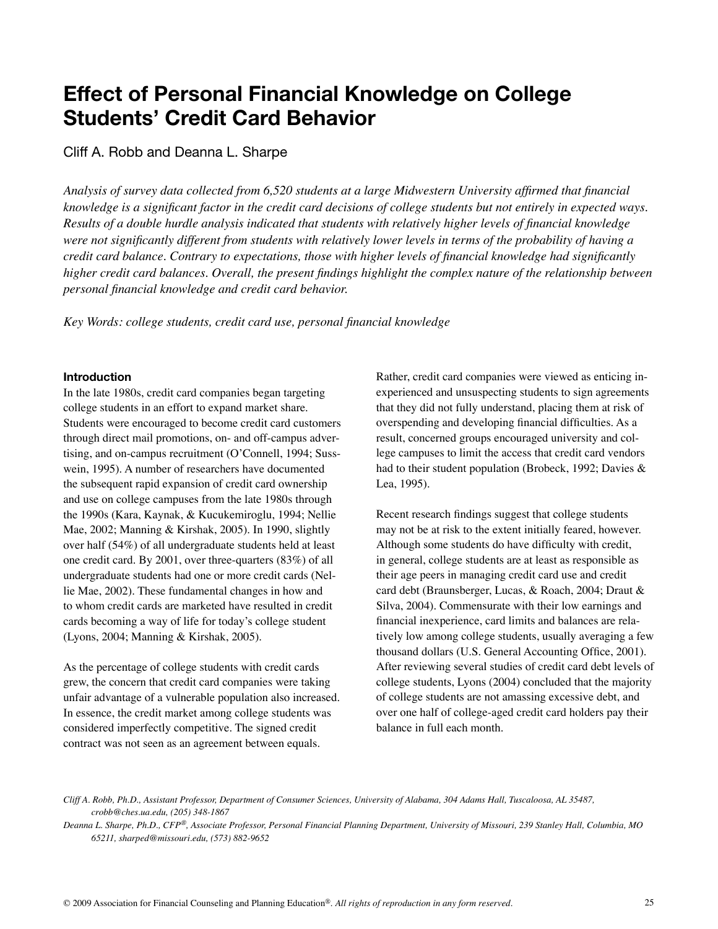# **Effect of Personal Financial Knowledge on College Students' Credit Card Behavior**

# Cliff A. Robb and Deanna L. Sharpe

*Analysis of survey data collected from 6,520 students at a large Midwestern University affirmed that financial knowledge is a significant factor in the credit card decisions of college students but not entirely in expected ways. Results of a double hurdle analysis indicated that students with relatively higher levels of financial knowledge were not significantly different from students with relatively lower levels in terms of the probability of having a credit card balance. Contrary to expectations, those with higher levels of financial knowledge had significantly higher credit card balances. Overall, the present findings highlight the complex nature of the relationship between personal financial knowledge and credit card behavior.*

*Key Words: college students, credit card use, personal financial knowledge* 

#### **Introduction**

In the late 1980s, credit card companies began targeting college students in an effort to expand market share. Students were encouraged to become credit card customers through direct mail promotions, on- and off-campus advertising, and on-campus recruitment (O'Connell, 1994; Susswein, 1995). A number of researchers have documented the subsequent rapid expansion of credit card ownership and use on college campuses from the late 1980s through the 1990s (Kara, Kaynak, & Kucukemiroglu, 1994; Nellie Mae, 2002; Manning & Kirshak, 2005). In 1990, slightly over half (54%) of all undergraduate students held at least one credit card. By 2001, over three-quarters (83%) of all undergraduate students had one or more credit cards (Nellie Mae, 2002). These fundamental changes in how and to whom credit cards are marketed have resulted in credit cards becoming a way of life for today's college student (Lyons, 2004; Manning & Kirshak, 2005).

As the percentage of college students with credit cards grew, the concern that credit card companies were taking unfair advantage of a vulnerable population also increased. In essence, the credit market among college students was considered imperfectly competitive. The signed credit contract was not seen as an agreement between equals.

Rather, credit card companies were viewed as enticing inexperienced and unsuspecting students to sign agreements that they did not fully understand, placing them at risk of overspending and developing financial difficulties. As a result, concerned groups encouraged university and college campuses to limit the access that credit card vendors had to their student population (Brobeck, 1992; Davies & Lea, 1995).

Recent research findings suggest that college students may not be at risk to the extent initially feared, however. Although some students do have difficulty with credit, in general, college students are at least as responsible as their age peers in managing credit card use and credit card debt (Braunsberger, Lucas, & Roach, 2004; Draut & Silva, 2004). Commensurate with their low earnings and financial inexperience, card limits and balances are relatively low among college students, usually averaging a few thousand dollars (U.S. General Accounting Office, 2001). After reviewing several studies of credit card debt levels of college students, Lyons (2004) concluded that the majority of college students are not amassing excessive debt, and over one half of college-aged credit card holders pay their balance in full each month.

*Cliff A. Robb, Ph.D., Assistant Professor, Department of Consumer Sciences, University of Alabama, 304 Adams Hall, Tuscaloosa, AL 35487, crobb@ches.ua.edu, (205) 348-1867*

*Deanna L. Sharpe, Ph.D., CFP®, Associate Professor, Personal Financial Planning Department, University of Missouri, 239 Stanley Hall, Columbia, MO 65211, sharped@missouri.edu, (573) 882-9652*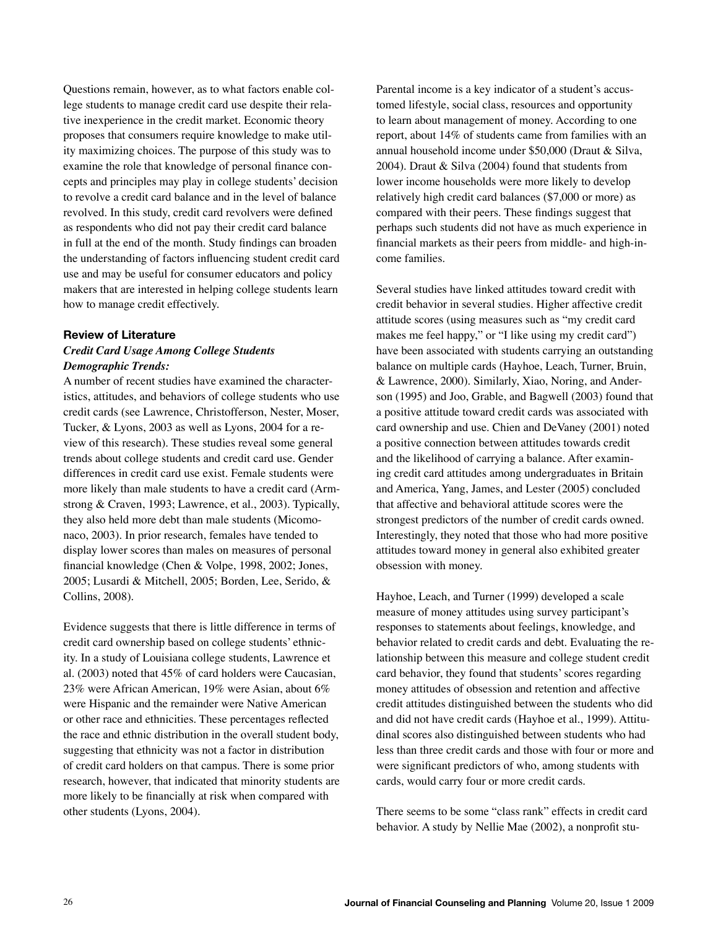Questions remain, however, as to what factors enable college students to manage credit card use despite their relative inexperience in the credit market. Economic theory proposes that consumers require knowledge to make utility maximizing choices. The purpose of this study was to examine the role that knowledge of personal finance concepts and principles may play in college students' decision to revolve a credit card balance and in the level of balance revolved. In this study, credit card revolvers were defined as respondents who did not pay their credit card balance in full at the end of the month. Study findings can broaden the understanding of factors influencing student credit card use and may be useful for consumer educators and policy makers that are interested in helping college students learn how to manage credit effectively.

#### **Review of Literature**

### *Credit Card Usage Among College Students Demographic Trends:*

A number of recent studies have examined the characteristics, attitudes, and behaviors of college students who use credit cards (see Lawrence, Christofferson, Nester, Moser, Tucker, & Lyons, 2003 as well as Lyons, 2004 for a review of this research). These studies reveal some general trends about college students and credit card use. Gender differences in credit card use exist. Female students were more likely than male students to have a credit card (Armstrong & Craven, 1993; Lawrence, et al., 2003). Typically, they also held more debt than male students (Micomonaco, 2003). In prior research, females have tended to display lower scores than males on measures of personal financial knowledge (Chen & Volpe, 1998, 2002; Jones, 2005; Lusardi & Mitchell, 2005; Borden, Lee, Serido, & Collins, 2008).

Evidence suggests that there is little difference in terms of credit card ownership based on college students' ethnicity. In a study of Louisiana college students, Lawrence et al. (2003) noted that 45% of card holders were Caucasian, 23% were African American, 19% were Asian, about 6% were Hispanic and the remainder were Native American or other race and ethnicities. These percentages reflected the race and ethnic distribution in the overall student body, suggesting that ethnicity was not a factor in distribution of credit card holders on that campus. There is some prior research, however, that indicated that minority students are more likely to be financially at risk when compared with other students (Lyons, 2004).

Parental income is a key indicator of a student's accustomed lifestyle, social class, resources and opportunity to learn about management of money. According to one report, about 14% of students came from families with an annual household income under \$50,000 (Draut & Silva, 2004). Draut & Silva (2004) found that students from lower income households were more likely to develop relatively high credit card balances (\$7,000 or more) as compared with their peers. These findings suggest that perhaps such students did not have as much experience in financial markets as their peers from middle- and high-income families.

Several studies have linked attitudes toward credit with credit behavior in several studies. Higher affective credit attitude scores (using measures such as "my credit card makes me feel happy," or "I like using my credit card") have been associated with students carrying an outstanding balance on multiple cards (Hayhoe, Leach, Turner, Bruin, & Lawrence, 2000). Similarly, Xiao, Noring, and Anderson (1995) and Joo, Grable, and Bagwell (2003) found that a positive attitude toward credit cards was associated with card ownership and use. Chien and DeVaney (2001) noted a positive connection between attitudes towards credit and the likelihood of carrying a balance. After examining credit card attitudes among undergraduates in Britain and America, Yang, James, and Lester (2005) concluded that affective and behavioral attitude scores were the strongest predictors of the number of credit cards owned. Interestingly, they noted that those who had more positive attitudes toward money in general also exhibited greater obsession with money.

Hayhoe, Leach, and Turner (1999) developed a scale measure of money attitudes using survey participant's responses to statements about feelings, knowledge, and behavior related to credit cards and debt. Evaluating the relationship between this measure and college student credit card behavior, they found that students' scores regarding money attitudes of obsession and retention and affective credit attitudes distinguished between the students who did and did not have credit cards (Hayhoe et al., 1999). Attitudinal scores also distinguished between students who had less than three credit cards and those with four or more and were significant predictors of who, among students with cards, would carry four or more credit cards.

There seems to be some "class rank" effects in credit card behavior. A study by Nellie Mae (2002), a nonprofit stu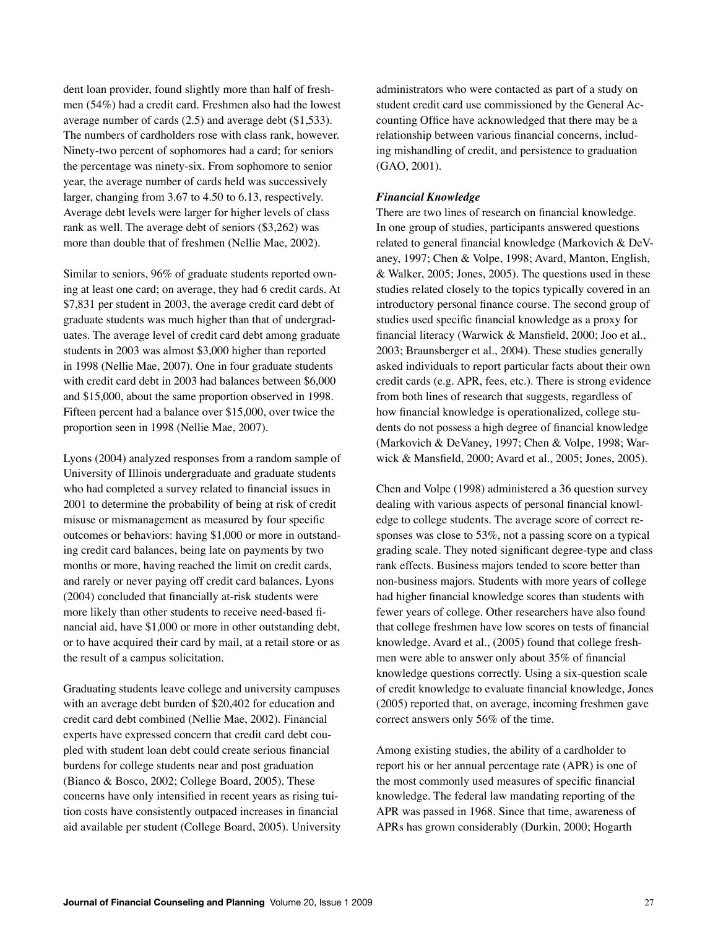dent loan provider, found slightly more than half of freshmen (54%) had a credit card. Freshmen also had the lowest average number of cards (2.5) and average debt (\$1,533). The numbers of cardholders rose with class rank, however. Ninety-two percent of sophomores had a card; for seniors the percentage was ninety-six. From sophomore to senior year, the average number of cards held was successively larger, changing from 3.67 to 4.50 to 6.13, respectively. Average debt levels were larger for higher levels of class rank as well. The average debt of seniors (\$3,262) was more than double that of freshmen (Nellie Mae, 2002).

Similar to seniors, 96% of graduate students reported owning at least one card; on average, they had 6 credit cards. At \$7,831 per student in 2003, the average credit card debt of graduate students was much higher than that of undergraduates. The average level of credit card debt among graduate students in 2003 was almost \$3,000 higher than reported in 1998 (Nellie Mae, 2007). One in four graduate students with credit card debt in 2003 had balances between \$6,000 and \$15,000, about the same proportion observed in 1998. Fifteen percent had a balance over \$15,000, over twice the proportion seen in 1998 (Nellie Mae, 2007).

Lyons (2004) analyzed responses from a random sample of University of Illinois undergraduate and graduate students who had completed a survey related to financial issues in 2001 to determine the probability of being at risk of credit misuse or mismanagement as measured by four specific outcomes or behaviors: having \$1,000 or more in outstanding credit card balances, being late on payments by two months or more, having reached the limit on credit cards, and rarely or never paying off credit card balances. Lyons (2004) concluded that financially at-risk students were more likely than other students to receive need-based financial aid, have \$1,000 or more in other outstanding debt, or to have acquired their card by mail, at a retail store or as the result of a campus solicitation.

Graduating students leave college and university campuses with an average debt burden of \$20,402 for education and credit card debt combined (Nellie Mae, 2002). Financial experts have expressed concern that credit card debt coupled with student loan debt could create serious financial burdens for college students near and post graduation (Bianco & Bosco, 2002; College Board, 2005). These concerns have only intensified in recent years as rising tuition costs have consistently outpaced increases in financial aid available per student (College Board, 2005). University administrators who were contacted as part of a study on student credit card use commissioned by the General Accounting Office have acknowledged that there may be a relationship between various financial concerns, including mishandling of credit, and persistence to graduation (GAO, 2001).

#### *Financial Knowledge*

There are two lines of research on financial knowledge. In one group of studies, participants answered questions related to general financial knowledge (Markovich & DeVaney, 1997; Chen & Volpe, 1998; Avard, Manton, English, & Walker, 2005; Jones, 2005). The questions used in these studies related closely to the topics typically covered in an introductory personal finance course. The second group of studies used specific financial knowledge as a proxy for financial literacy (Warwick & Mansfield, 2000; Joo et al., 2003; Braunsberger et al., 2004). These studies generally asked individuals to report particular facts about their own credit cards (e.g. APR, fees, etc.). There is strong evidence from both lines of research that suggests, regardless of how financial knowledge is operationalized, college students do not possess a high degree of financial knowledge (Markovich & DeVaney, 1997; Chen & Volpe, 1998; Warwick & Mansfield, 2000; Avard et al., 2005; Jones, 2005).

Chen and Volpe (1998) administered a 36 question survey dealing with various aspects of personal financial knowledge to college students. The average score of correct responses was close to 53%, not a passing score on a typical grading scale. They noted significant degree-type and class rank effects. Business majors tended to score better than non-business majors. Students with more years of college had higher financial knowledge scores than students with fewer years of college. Other researchers have also found that college freshmen have low scores on tests of financial knowledge. Avard et al., (2005) found that college freshmen were able to answer only about 35% of financial knowledge questions correctly. Using a six-question scale of credit knowledge to evaluate financial knowledge, Jones (2005) reported that, on average, incoming freshmen gave correct answers only 56% of the time.

Among existing studies, the ability of a cardholder to report his or her annual percentage rate (APR) is one of the most commonly used measures of specific financial knowledge. The federal law mandating reporting of the APR was passed in 1968. Since that time, awareness of APRs has grown considerably (Durkin, 2000; Hogarth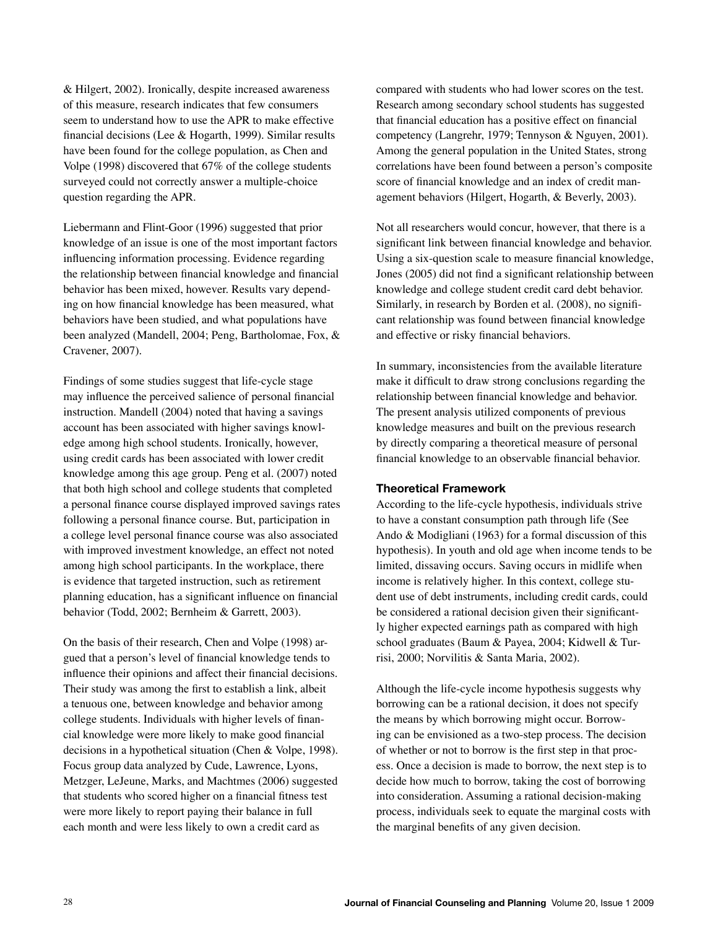& Hilgert, 2002). Ironically, despite increased awareness of this measure, research indicates that few consumers seem to understand how to use the APR to make effective financial decisions (Lee & Hogarth, 1999). Similar results have been found for the college population, as Chen and Volpe (1998) discovered that 67% of the college students surveyed could not correctly answer a multiple-choice question regarding the APR.

Liebermann and Flint-Goor (1996) suggested that prior knowledge of an issue is one of the most important factors influencing information processing. Evidence regarding the relationship between financial knowledge and financial behavior has been mixed, however. Results vary depending on how financial knowledge has been measured, what behaviors have been studied, and what populations have been analyzed (Mandell, 2004; Peng, Bartholomae, Fox, & Cravener, 2007).

Findings of some studies suggest that life-cycle stage may influence the perceived salience of personal financial instruction. Mandell (2004) noted that having a savings account has been associated with higher savings knowledge among high school students. Ironically, however, using credit cards has been associated with lower credit knowledge among this age group. Peng et al. (2007) noted that both high school and college students that completed a personal finance course displayed improved savings rates following a personal finance course. But, participation in a college level personal finance course was also associated with improved investment knowledge, an effect not noted among high school participants. In the workplace, there is evidence that targeted instruction, such as retirement planning education, has a significant influence on financial behavior (Todd, 2002; Bernheim & Garrett, 2003).

On the basis of their research, Chen and Volpe (1998) argued that a person's level of financial knowledge tends to influence their opinions and affect their financial decisions. Their study was among the first to establish a link, albeit a tenuous one, between knowledge and behavior among college students. Individuals with higher levels of financial knowledge were more likely to make good financial decisions in a hypothetical situation (Chen & Volpe, 1998). Focus group data analyzed by Cude, Lawrence, Lyons, Metzger, LeJeune, Marks, and Machtmes (2006) suggested that students who scored higher on a financial fitness test were more likely to report paying their balance in full each month and were less likely to own a credit card as

compared with students who had lower scores on the test. Research among secondary school students has suggested that financial education has a positive effect on financial competency (Langrehr, 1979; Tennyson & Nguyen, 2001). Among the general population in the United States, strong correlations have been found between a person's composite score of financial knowledge and an index of credit management behaviors (Hilgert, Hogarth, & Beverly, 2003).

Not all researchers would concur, however, that there is a significant link between financial knowledge and behavior. Using a six-question scale to measure financial knowledge, Jones (2005) did not find a significant relationship between knowledge and college student credit card debt behavior. Similarly, in research by Borden et al. (2008), no significant relationship was found between financial knowledge and effective or risky financial behaviors.

In summary, inconsistencies from the available literature make it difficult to draw strong conclusions regarding the relationship between financial knowledge and behavior. The present analysis utilized components of previous knowledge measures and built on the previous research by directly comparing a theoretical measure of personal financial knowledge to an observable financial behavior.

#### **Theoretical Framework**

According to the life-cycle hypothesis, individuals strive to have a constant consumption path through life (See Ando & Modigliani (1963) for a formal discussion of this hypothesis). In youth and old age when income tends to be limited, dissaving occurs. Saving occurs in midlife when income is relatively higher. In this context, college student use of debt instruments, including credit cards, could be considered a rational decision given their significantly higher expected earnings path as compared with high school graduates (Baum & Payea, 2004; Kidwell & Turrisi, 2000; Norvilitis & Santa Maria, 2002).

Although the life-cycle income hypothesis suggests why borrowing can be a rational decision, it does not specify the means by which borrowing might occur. Borrowing can be envisioned as a two-step process. The decision of whether or not to borrow is the first step in that process. Once a decision is made to borrow, the next step is to decide how much to borrow, taking the cost of borrowing into consideration. Assuming a rational decision-making process, individuals seek to equate the marginal costs with the marginal benefits of any given decision.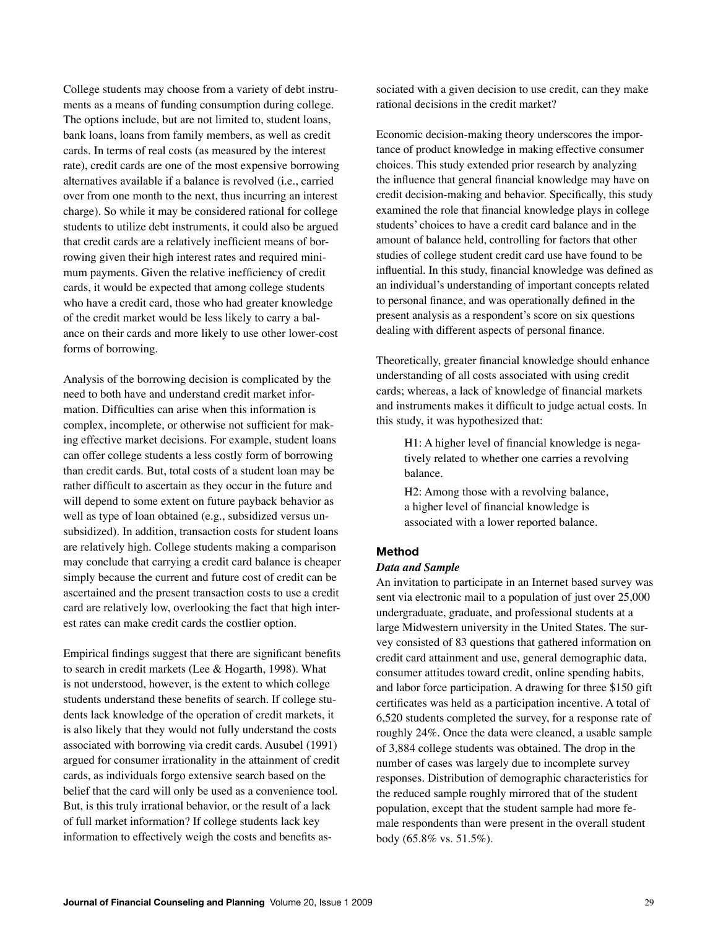College students may choose from a variety of debt instruments as a means of funding consumption during college. The options include, but are not limited to, student loans, bank loans, loans from family members, as well as credit cards. In terms of real costs (as measured by the interest rate), credit cards are one of the most expensive borrowing alternatives available if a balance is revolved (i.e., carried over from one month to the next, thus incurring an interest charge). So while it may be considered rational for college students to utilize debt instruments, it could also be argued that credit cards are a relatively inefficient means of borrowing given their high interest rates and required minimum payments. Given the relative inefficiency of credit cards, it would be expected that among college students who have a credit card, those who had greater knowledge of the credit market would be less likely to carry a balance on their cards and more likely to use other lower-cost forms of borrowing.

Analysis of the borrowing decision is complicated by the need to both have and understand credit market information. Difficulties can arise when this information is complex, incomplete, or otherwise not sufficient for making effective market decisions. For example, student loans can offer college students a less costly form of borrowing than credit cards. But, total costs of a student loan may be rather difficult to ascertain as they occur in the future and will depend to some extent on future payback behavior as well as type of loan obtained (e.g., subsidized versus unsubsidized). In addition, transaction costs for student loans are relatively high. College students making a comparison may conclude that carrying a credit card balance is cheaper simply because the current and future cost of credit can be ascertained and the present transaction costs to use a credit card are relatively low, overlooking the fact that high interest rates can make credit cards the costlier option.

Empirical findings suggest that there are significant benefits to search in credit markets (Lee & Hogarth, 1998). What is not understood, however, is the extent to which college students understand these benefits of search. If college students lack knowledge of the operation of credit markets, it is also likely that they would not fully understand the costs associated with borrowing via credit cards. Ausubel (1991) argued for consumer irrationality in the attainment of credit cards, as individuals forgo extensive search based on the belief that the card will only be used as a convenience tool. But, is this truly irrational behavior, or the result of a lack of full market information? If college students lack key information to effectively weigh the costs and benefits as-

sociated with a given decision to use credit, can they make rational decisions in the credit market?

Economic decision-making theory underscores the importance of product knowledge in making effective consumer choices. This study extended prior research by analyzing the influence that general financial knowledge may have on credit decision-making and behavior. Specifically, this study examined the role that financial knowledge plays in college students' choices to have a credit card balance and in the amount of balance held, controlling for factors that other studies of college student credit card use have found to be influential. In this study, financial knowledge was defined as an individual's understanding of important concepts related to personal finance, and was operationally defined in the present analysis as a respondent's score on six questions dealing with different aspects of personal finance.

Theoretically, greater financial knowledge should enhance understanding of all costs associated with using credit cards; whereas, a lack of knowledge of financial markets and instruments makes it difficult to judge actual costs. In this study, it was hypothesized that:

> H1: A higher level of financial knowledge is negatively related to whether one carries a revolving balance.

H2: Among those with a revolving balance, a higher level of financial knowledge is associated with a lower reported balance.

### **Method**

### *Data and Sample*

An invitation to participate in an Internet based survey was sent via electronic mail to a population of just over 25,000 undergraduate, graduate, and professional students at a large Midwestern university in the United States. The survey consisted of 83 questions that gathered information on credit card attainment and use, general demographic data, consumer attitudes toward credit, online spending habits, and labor force participation. A drawing for three \$150 gift certificates was held as a participation incentive. A total of 6,520 students completed the survey, for a response rate of roughly 24%. Once the data were cleaned, a usable sample of 3,884 college students was obtained. The drop in the number of cases was largely due to incomplete survey responses. Distribution of demographic characteristics for the reduced sample roughly mirrored that of the student population, except that the student sample had more female respondents than were present in the overall student body (65.8% vs. 51.5%).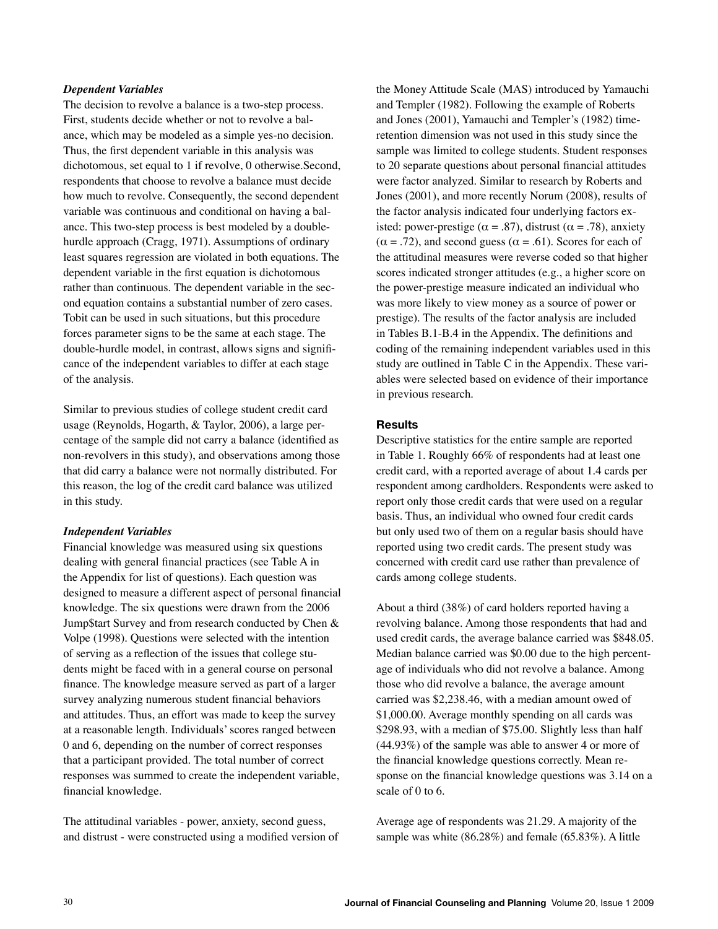#### *Dependent Variables*

The decision to revolve a balance is a two-step process. First, students decide whether or not to revolve a balance, which may be modeled as a simple yes-no decision. Thus, the first dependent variable in this analysis was dichotomous, set equal to 1 if revolve, 0 otherwise.Second, respondents that choose to revolve a balance must decide how much to revolve. Consequently, the second dependent variable was continuous and conditional on having a balance. This two-step process is best modeled by a doublehurdle approach (Cragg, 1971). Assumptions of ordinary least squares regression are violated in both equations. The dependent variable in the first equation is dichotomous rather than continuous. The dependent variable in the second equation contains a substantial number of zero cases. Tobit can be used in such situations, but this procedure forces parameter signs to be the same at each stage. The double-hurdle model, in contrast, allows signs and significance of the independent variables to differ at each stage of the analysis.

Similar to previous studies of college student credit card usage (Reynolds, Hogarth, & Taylor, 2006), a large percentage of the sample did not carry a balance (identified as non-revolvers in this study), and observations among those that did carry a balance were not normally distributed. For this reason, the log of the credit card balance was utilized in this study.

### *Independent Variables*

Financial knowledge was measured using six questions dealing with general financial practices (see Table A in the Appendix for list of questions). Each question was designed to measure a different aspect of personal financial knowledge. The six questions were drawn from the 2006 Jump\$tart Survey and from research conducted by Chen & Volpe (1998). Questions were selected with the intention of serving as a reflection of the issues that college students might be faced with in a general course on personal finance. The knowledge measure served as part of a larger survey analyzing numerous student financial behaviors and attitudes. Thus, an effort was made to keep the survey at a reasonable length. Individuals' scores ranged between 0 and 6, depending on the number of correct responses that a participant provided. The total number of correct responses was summed to create the independent variable, financial knowledge.

The attitudinal variables - power, anxiety, second guess, and distrust - were constructed using a modified version of

the Money Attitude Scale (MAS) introduced by Yamauchi and Templer (1982). Following the example of Roberts and Jones (2001), Yamauchi and Templer's (1982) timeretention dimension was not used in this study since the sample was limited to college students. Student responses to 20 separate questions about personal financial attitudes were factor analyzed. Similar to research by Roberts and Jones (2001), and more recently Norum (2008), results of the factor analysis indicated four underlying factors existed: power-prestige ( $\alpha = .87$ ), distrust ( $\alpha = .78$ ), anxiety  $(\alpha = .72)$ , and second guess  $(\alpha = .61)$ . Scores for each of the attitudinal measures were reverse coded so that higher scores indicated stronger attitudes (e.g., a higher score on the power-prestige measure indicated an individual who was more likely to view money as a source of power or prestige). The results of the factor analysis are included in Tables B.1-B.4 in the Appendix. The definitions and coding of the remaining independent variables used in this study are outlined in Table C in the Appendix. These variables were selected based on evidence of their importance in previous research.

### **Results**

Descriptive statistics for the entire sample are reported in Table 1. Roughly 66% of respondents had at least one credit card, with a reported average of about 1.4 cards per respondent among cardholders. Respondents were asked to report only those credit cards that were used on a regular basis. Thus, an individual who owned four credit cards but only used two of them on a regular basis should have reported using two credit cards. The present study was concerned with credit card use rather than prevalence of cards among college students.

About a third (38%) of card holders reported having a revolving balance. Among those respondents that had and used credit cards, the average balance carried was \$848.05. Median balance carried was \$0.00 due to the high percentage of individuals who did not revolve a balance. Among those who did revolve a balance, the average amount carried was \$2,238.46, with a median amount owed of \$1,000.00. Average monthly spending on all cards was \$298.93, with a median of \$75.00. Slightly less than half (44.93%) of the sample was able to answer 4 or more of the financial knowledge questions correctly. Mean response on the financial knowledge questions was 3.14 on a scale of 0 to 6.

Average age of respondents was 21.29. A majority of the sample was white (86.28%) and female (65.83%). A little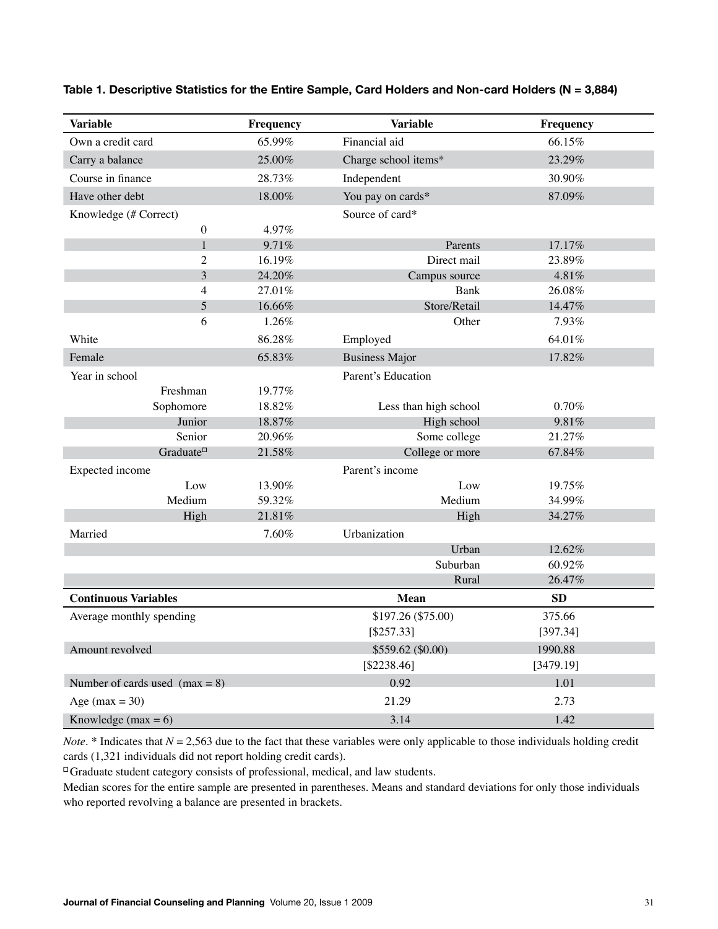| <b>Variable</b>                  | Frequency | <b>Variable</b>       | Frequency |
|----------------------------------|-----------|-----------------------|-----------|
| Own a credit card                | 65.99%    | Financial aid         | 66.15%    |
| Carry a balance                  | 25.00%    | Charge school items*  | 23.29%    |
| Course in finance                | 28.73%    | Independent           | 30.90%    |
| Have other debt                  | 18.00%    | You pay on cards*     | 87.09%    |
| Knowledge (# Correct)            |           | Source of card*       |           |
| $\boldsymbol{0}$                 | 4.97%     |                       |           |
| 1                                | 9.71%     | Parents               | 17.17%    |
| $\overline{c}$                   | 16.19%    | Direct mail           | 23.89%    |
| 3                                | 24.20%    | Campus source         | 4.81%     |
| 4                                | 27.01%    | <b>Bank</b>           | 26.08%    |
| 5                                | 16.66%    | Store/Retail          | 14.47%    |
| 6                                | 1.26%     | Other                 | 7.93%     |
| White                            | 86.28%    | Employed              | 64.01%    |
| Female                           | 65.83%    | <b>Business Major</b> | 17.82%    |
| Year in school                   |           | Parent's Education    |           |
| Freshman                         | 19.77%    |                       |           |
| Sophomore                        | 18.82%    | Less than high school | 0.70%     |
| Junior                           | 18.87%    | High school           | 9.81%     |
| Senior                           | 20.96%    | Some college          | 21.27%    |
| Graduate <sup>D</sup>            | 21.58%    | College or more       | 67.84%    |
| Expected income                  |           | Parent's income       |           |
| Low                              | 13.90%    | Low                   | 19.75%    |
| Medium                           | 59.32%    | Medium                | 34.99%    |
| High                             | 21.81%    | High                  | 34.27%    |
| Married                          | 7.60%     | Urbanization          |           |
|                                  |           | Urban                 | 12.62%    |
|                                  |           | Suburban              | 60.92%    |
|                                  |           | Rural                 | 26.47%    |
| <b>Continuous Variables</b>      |           | Mean                  | SD        |
| Average monthly spending         |           | \$197.26 (\$75.00)    | 375.66    |
|                                  |           | [\$257.33]            | [397.34]  |
| Amount revolved                  |           | \$559.62 (\$0.00)     | 1990.88   |
|                                  |           | [\$2238.46]           | [3479.19] |
| Number of cards used $(max = 8)$ |           | 0.92                  | 1.01      |
| Age (max = $30$ )                |           | 21.29                 | 2.73      |
| Knowledge (max = $6$ )           |           | 3.14                  | 1.42      |

### **Table 1. Descriptive Statistics for the Entire Sample, Card Holders and Non-card Holders (N = 3,884)**

*Note.* \* Indicates that *N* = 2,563 due to the fact that these variables were only applicable to those individuals holding credit cards (1,321 individuals did not report holding credit cards).

□ Graduate student category consists of professional, medical, and law students.

Median scores for the entire sample are presented in parentheses. Means and standard deviations for only those individuals who reported revolving a balance are presented in brackets.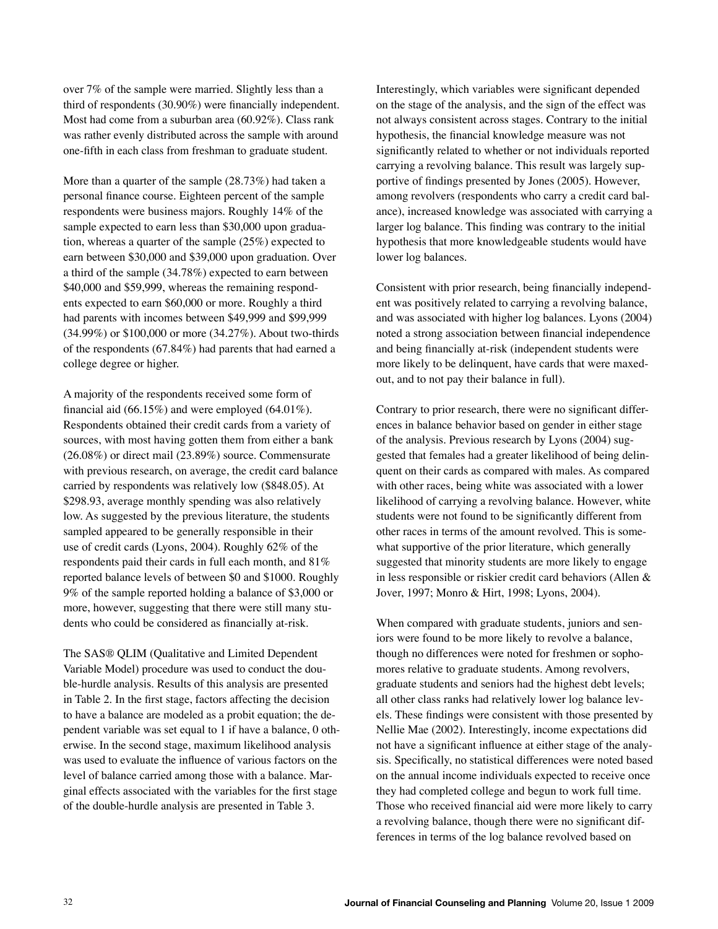over 7% of the sample were married. Slightly less than a third of respondents (30.90%) were financially independent. Most had come from a suburban area (60.92%). Class rank was rather evenly distributed across the sample with around one-fifth in each class from freshman to graduate student.

More than a quarter of the sample (28.73%) had taken a personal finance course. Eighteen percent of the sample respondents were business majors. Roughly 14% of the sample expected to earn less than \$30,000 upon graduation, whereas a quarter of the sample (25%) expected to earn between \$30,000 and \$39,000 upon graduation. Over a third of the sample (34.78%) expected to earn between \$40,000 and \$59,999, whereas the remaining respondents expected to earn \$60,000 or more. Roughly a third had parents with incomes between \$49,999 and \$99,999 (34.99%) or \$100,000 or more (34.27%). About two-thirds of the respondents (67.84%) had parents that had earned a college degree or higher.

A majority of the respondents received some form of financial aid (66.15%) and were employed (64.01%). Respondents obtained their credit cards from a variety of sources, with most having gotten them from either a bank (26.08%) or direct mail (23.89%) source. Commensurate with previous research, on average, the credit card balance carried by respondents was relatively low (\$848.05). At \$298.93, average monthly spending was also relatively low. As suggested by the previous literature, the students sampled appeared to be generally responsible in their use of credit cards (Lyons, 2004). Roughly 62% of the respondents paid their cards in full each month, and 81% reported balance levels of between \$0 and \$1000. Roughly 9% of the sample reported holding a balance of \$3,000 or more, however, suggesting that there were still many students who could be considered as financially at-risk.

The SAS® QLIM (Qualitative and Limited Dependent Variable Model) procedure was used to conduct the double-hurdle analysis. Results of this analysis are presented in Table 2. In the first stage, factors affecting the decision to have a balance are modeled as a probit equation; the dependent variable was set equal to 1 if have a balance, 0 otherwise. In the second stage, maximum likelihood analysis was used to evaluate the influence of various factors on the level of balance carried among those with a balance. Marginal effects associated with the variables for the first stage of the double-hurdle analysis are presented in Table 3.

Interestingly, which variables were significant depended on the stage of the analysis, and the sign of the effect was not always consistent across stages. Contrary to the initial hypothesis, the financial knowledge measure was not significantly related to whether or not individuals reported carrying a revolving balance. This result was largely supportive of findings presented by Jones (2005). However, among revolvers (respondents who carry a credit card balance), increased knowledge was associated with carrying a larger log balance. This finding was contrary to the initial hypothesis that more knowledgeable students would have lower log balances.

Consistent with prior research, being financially independent was positively related to carrying a revolving balance, and was associated with higher log balances. Lyons (2004) noted a strong association between financial independence and being financially at-risk (independent students were more likely to be delinquent, have cards that were maxedout, and to not pay their balance in full).

Contrary to prior research, there were no significant differences in balance behavior based on gender in either stage of the analysis. Previous research by Lyons (2004) suggested that females had a greater likelihood of being delinquent on their cards as compared with males. As compared with other races, being white was associated with a lower likelihood of carrying a revolving balance. However, white students were not found to be significantly different from other races in terms of the amount revolved. This is somewhat supportive of the prior literature, which generally suggested that minority students are more likely to engage in less responsible or riskier credit card behaviors (Allen & Jover, 1997; Monro & Hirt, 1998; Lyons, 2004).

When compared with graduate students, juniors and seniors were found to be more likely to revolve a balance, though no differences were noted for freshmen or sophomores relative to graduate students. Among revolvers, graduate students and seniors had the highest debt levels; all other class ranks had relatively lower log balance levels. These findings were consistent with those presented by Nellie Mae (2002). Interestingly, income expectations did not have a significant influence at either stage of the analysis. Specifically, no statistical differences were noted based on the annual income individuals expected to receive once they had completed college and begun to work full time. Those who received financial aid were more likely to carry a revolving balance, though there were no significant differences in terms of the log balance revolved based on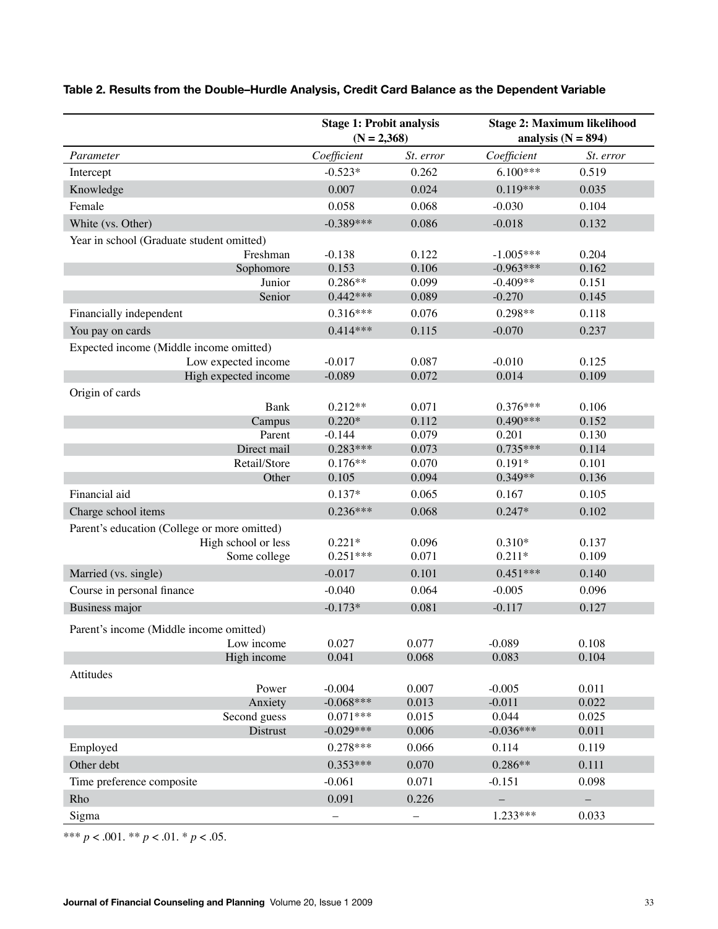|                                              | <b>Stage 1: Probit analysis</b> |           | <b>Stage 2: Maximum likelihood</b> |           |
|----------------------------------------------|---------------------------------|-----------|------------------------------------|-----------|
|                                              | $(N = 2,368)$                   |           | analysis $(N = 894)$               |           |
| Parameter                                    | Coefficient                     | St. error | Coefficient                        | St. error |
| Intercept                                    | $-0.523*$                       | 0.262     | $6.100***$                         | 0.519     |
| Knowledge                                    | 0.007                           | 0.024     | $0.119***$                         | 0.035     |
| Female                                       | 0.058                           | 0.068     | $-0.030$                           | 0.104     |
| White (vs. Other)                            | $-0.389***$                     | 0.086     | $-0.018$                           | 0.132     |
| Year in school (Graduate student omitted)    |                                 |           |                                    |           |
| Freshman                                     | $-0.138$                        | 0.122     | $-1.005***$                        | 0.204     |
| Sophomore                                    | 0.153                           | 0.106     | $-0.963***$                        | 0.162     |
| Junior                                       | $0.286**$                       | 0.099     | $-0.409**$                         | 0.151     |
| Senior                                       | $0.442***$                      | 0.089     | $-0.270$                           | 0.145     |
| Financially independent                      | $0.316***$                      | 0.076     | $0.298**$                          | 0.118     |
| You pay on cards                             | $0.414***$                      | 0.115     | $-0.070$                           | 0.237     |
| Expected income (Middle income omitted)      |                                 |           |                                    |           |
| Low expected income                          | $-0.017$                        | 0.087     | $-0.010$                           | 0.125     |
| High expected income                         | $-0.089$                        | 0.072     | 0.014                              | 0.109     |
| Origin of cards                              |                                 |           |                                    |           |
| Bank                                         | $0.212**$                       | 0.071     | $0.376***$                         | 0.106     |
| Campus                                       | $0.220*$                        | 0.112     | $0.490***$                         | 0.152     |
| Parent                                       | $-0.144$                        | 0.079     | 0.201                              | 0.130     |
| Direct mail                                  | $0.283***$                      | 0.073     | $0.735***$                         | 0.114     |
| Retail/Store                                 | $0.176**$                       | 0.070     | $0.191*$                           | 0.101     |
| Other                                        | 0.105                           | 0.094     | $0.349**$                          | 0.136     |
| Financial aid                                | $0.137*$                        | 0.065     | 0.167                              | 0.105     |
| Charge school items                          | $0.236***$                      | 0.068     | $0.247*$                           | 0.102     |
| Parent's education (College or more omitted) |                                 |           |                                    |           |
| High school or less                          | $0.221*$                        | 0.096     | $0.310*$                           | 0.137     |
| Some college                                 | $0.251***$                      | 0.071     | $0.211*$                           | 0.109     |
| Married (vs. single)                         | $-0.017$                        | 0.101     | $0.451***$                         | 0.140     |
| Course in personal finance                   | $-0.040$                        | 0.064     | $-0.005$                           | 0.096     |
| Business major                               | $-0.173*$                       | 0.081     | $-0.117$                           | 0.127     |
| Parent's income (Middle income omitted)      |                                 |           |                                    |           |
| Low income                                   | 0.027                           | 0.077     | $-0.089$                           | 0.108     |
| High income                                  | 0.041                           | 0.068     | 0.083                              | 0.104     |
| Attitudes                                    |                                 |           |                                    |           |
| Power                                        | $-0.004$                        | 0.007     | $-0.005$                           | 0.011     |
| Anxiety                                      | $-0.068***$                     | 0.013     | $-0.011$                           | 0.022     |
| Second guess                                 | $0.071***$                      | 0.015     | 0.044                              | 0.025     |
| Distrust                                     | $-0.029***$                     | 0.006     | $-0.036***$                        | 0.011     |
| Employed                                     | $0.278***$                      | 0.066     | 0.114                              | 0.119     |
| Other debt                                   | $0.353***$                      | 0.070     | $0.286**$                          | 0.111     |
| Time preference composite                    | $-0.061$                        | 0.071     | $-0.151$                           | 0.098     |
| Rho                                          | 0.091                           | 0.226     |                                    |           |
|                                              |                                 |           |                                    |           |
| Sigma                                        | -                               |           | 1.233***                           | 0.033     |

# **Table 2. Results from the Double–Hurdle Analysis, Credit Card Balance as the Dependent Variable**

\*\*\*  $p < .001$ . \*\*  $p < .01$ . \*  $p < .05$ .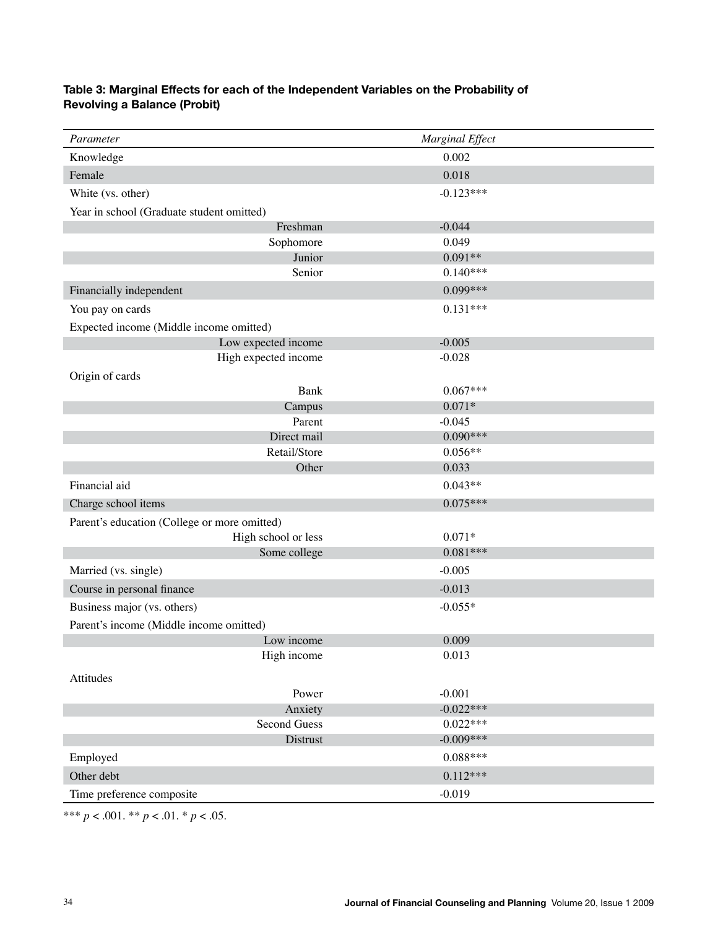# **Table 3: Marginal Effects for each of the Independent Variables on the Probability of Revolving a Balance (Probit)**

| Parameter                                    | Marginal Effect |
|----------------------------------------------|-----------------|
| Knowledge                                    | 0.002           |
| Female                                       | 0.018           |
| White (vs. other)                            | $-0.123***$     |
| Year in school (Graduate student omitted)    |                 |
| Freshman                                     | $-0.044$        |
| Sophomore                                    | 0.049           |
| Junior                                       | $0.091**$       |
| Senior                                       | $0.140***$      |
| Financially independent                      | $0.099***$      |
| You pay on cards                             | $0.131***$      |
| Expected income (Middle income omitted)      |                 |
| Low expected income                          | $-0.005$        |
| High expected income                         | $-0.028$        |
| Origin of cards                              |                 |
| <b>Bank</b>                                  | $0.067***$      |
| Campus                                       | $0.071*$        |
| Parent                                       | $-0.045$        |
| Direct mail                                  | $0.090***$      |
| Retail/Store                                 | $0.056**$       |
| Other                                        | 0.033           |
| Financial aid                                | $0.043**$       |
| Charge school items                          | $0.075***$      |
| Parent's education (College or more omitted) |                 |
| High school or less                          | $0.071*$        |
| Some college                                 | $0.081***$      |
| Married (vs. single)                         | $-0.005$        |
| Course in personal finance                   | $-0.013$        |
| Business major (vs. others)                  | $-0.055*$       |
| Parent's income (Middle income omitted)      |                 |
| Low income                                   | 0.009           |
| High income                                  | 0.013           |
| Attitudes                                    |                 |
| Power                                        | $-0.001$        |
| Anxiety                                      | $-0.022***$     |
| Second Guess                                 | $0.022***$      |
| Distrust                                     | $-0.009***$     |
| Employed                                     | $0.088***$      |
| Other debt                                   | $0.112***$      |
| Time preference composite                    | $-0.019$        |

\*\*\* $p < .001.$ \*\* $p < .01.$ \* $p < .05.$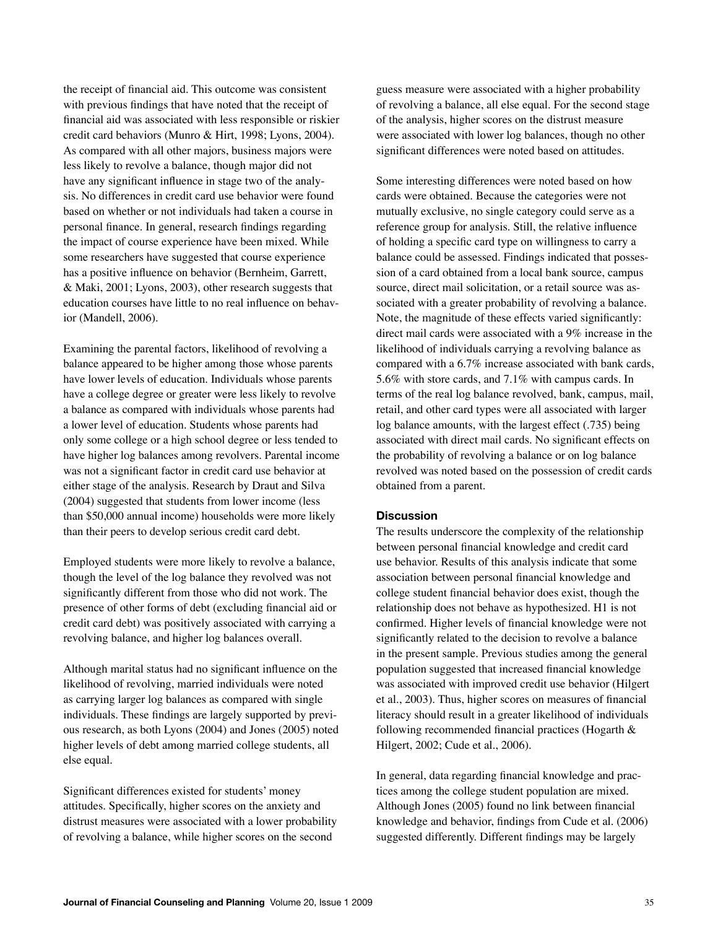the receipt of financial aid. This outcome was consistent with previous findings that have noted that the receipt of financial aid was associated with less responsible or riskier credit card behaviors (Munro & Hirt, 1998; Lyons, 2004). As compared with all other majors, business majors were less likely to revolve a balance, though major did not have any significant influence in stage two of the analysis. No differences in credit card use behavior were found based on whether or not individuals had taken a course in personal finance. In general, research findings regarding the impact of course experience have been mixed. While some researchers have suggested that course experience has a positive influence on behavior (Bernheim, Garrett, & Maki, 2001; Lyons, 2003), other research suggests that education courses have little to no real influence on behavior (Mandell, 2006).

Examining the parental factors, likelihood of revolving a balance appeared to be higher among those whose parents have lower levels of education. Individuals whose parents have a college degree or greater were less likely to revolve a balance as compared with individuals whose parents had a lower level of education. Students whose parents had only some college or a high school degree or less tended to have higher log balances among revolvers. Parental income was not a significant factor in credit card use behavior at either stage of the analysis. Research by Draut and Silva (2004) suggested that students from lower income (less than \$50,000 annual income) households were more likely than their peers to develop serious credit card debt.

Employed students were more likely to revolve a balance, though the level of the log balance they revolved was not significantly different from those who did not work. The presence of other forms of debt (excluding financial aid or credit card debt) was positively associated with carrying a revolving balance, and higher log balances overall.

Although marital status had no significant influence on the likelihood of revolving, married individuals were noted as carrying larger log balances as compared with single individuals. These findings are largely supported by previous research, as both Lyons (2004) and Jones (2005) noted higher levels of debt among married college students, all else equal.

Significant differences existed for students' money attitudes. Specifically, higher scores on the anxiety and distrust measures were associated with a lower probability of revolving a balance, while higher scores on the second

guess measure were associated with a higher probability of revolving a balance, all else equal. For the second stage of the analysis, higher scores on the distrust measure were associated with lower log balances, though no other significant differences were noted based on attitudes.

Some interesting differences were noted based on how cards were obtained. Because the categories were not mutually exclusive, no single category could serve as a reference group for analysis. Still, the relative influence of holding a specific card type on willingness to carry a balance could be assessed. Findings indicated that possession of a card obtained from a local bank source, campus source, direct mail solicitation, or a retail source was associated with a greater probability of revolving a balance. Note, the magnitude of these effects varied significantly: direct mail cards were associated with a 9% increase in the likelihood of individuals carrying a revolving balance as compared with a 6.7% increase associated with bank cards, 5.6% with store cards, and 7.1% with campus cards. In terms of the real log balance revolved, bank, campus, mail, retail, and other card types were all associated with larger log balance amounts, with the largest effect (.735) being associated with direct mail cards. No significant effects on the probability of revolving a balance or on log balance revolved was noted based on the possession of credit cards obtained from a parent.

### **Discussion**

The results underscore the complexity of the relationship between personal financial knowledge and credit card use behavior. Results of this analysis indicate that some association between personal financial knowledge and college student financial behavior does exist, though the relationship does not behave as hypothesized. H1 is not confirmed. Higher levels of financial knowledge were not significantly related to the decision to revolve a balance in the present sample. Previous studies among the general population suggested that increased financial knowledge was associated with improved credit use behavior (Hilgert et al., 2003). Thus, higher scores on measures of financial literacy should result in a greater likelihood of individuals following recommended financial practices (Hogarth & Hilgert, 2002; Cude et al., 2006).

In general, data regarding financial knowledge and practices among the college student population are mixed. Although Jones (2005) found no link between financial knowledge and behavior, findings from Cude et al. (2006) suggested differently. Different findings may be largely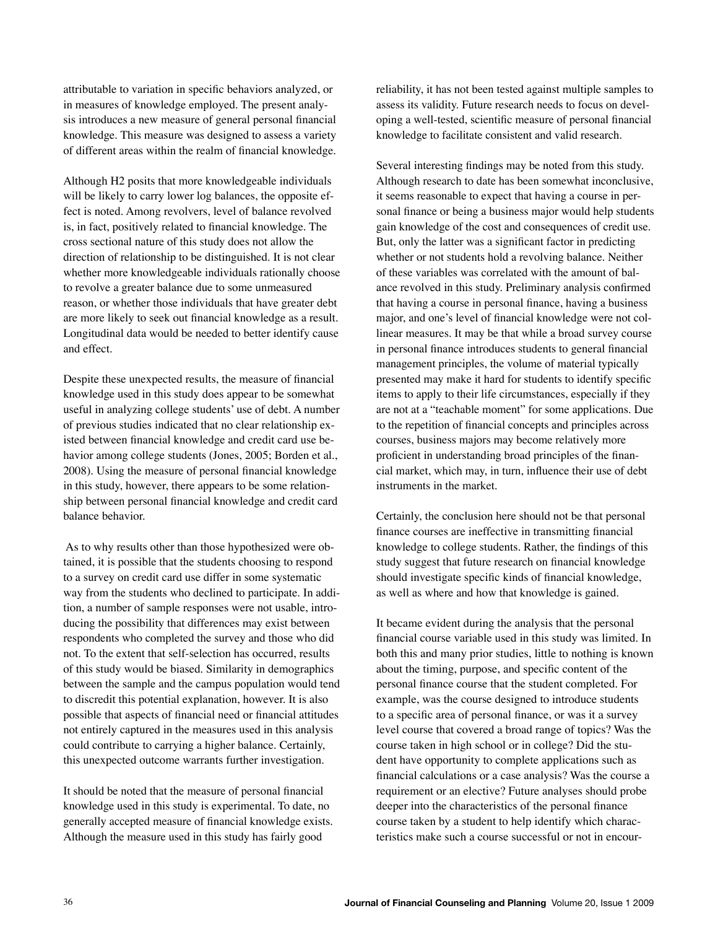attributable to variation in specific behaviors analyzed, or in measures of knowledge employed. The present analysis introduces a new measure of general personal financial knowledge. This measure was designed to assess a variety of different areas within the realm of financial knowledge.

Although H2 posits that more knowledgeable individuals will be likely to carry lower log balances, the opposite effect is noted. Among revolvers, level of balance revolved is, in fact, positively related to financial knowledge. The cross sectional nature of this study does not allow the direction of relationship to be distinguished. It is not clear whether more knowledgeable individuals rationally choose to revolve a greater balance due to some unmeasured reason, or whether those individuals that have greater debt are more likely to seek out financial knowledge as a result. Longitudinal data would be needed to better identify cause and effect.

Despite these unexpected results, the measure of financial knowledge used in this study does appear to be somewhat useful in analyzing college students' use of debt. A number of previous studies indicated that no clear relationship existed between financial knowledge and credit card use behavior among college students (Jones, 2005; Borden et al., 2008). Using the measure of personal financial knowledge in this study, however, there appears to be some relationship between personal financial knowledge and credit card balance behavior.

 As to why results other than those hypothesized were obtained, it is possible that the students choosing to respond to a survey on credit card use differ in some systematic way from the students who declined to participate. In addition, a number of sample responses were not usable, introducing the possibility that differences may exist between respondents who completed the survey and those who did not. To the extent that self-selection has occurred, results of this study would be biased. Similarity in demographics between the sample and the campus population would tend to discredit this potential explanation, however. It is also possible that aspects of financial need or financial attitudes not entirely captured in the measures used in this analysis could contribute to carrying a higher balance. Certainly, this unexpected outcome warrants further investigation.

It should be noted that the measure of personal financial knowledge used in this study is experimental. To date, no generally accepted measure of financial knowledge exists. Although the measure used in this study has fairly good

reliability, it has not been tested against multiple samples to assess its validity. Future research needs to focus on developing a well-tested, scientific measure of personal financial knowledge to facilitate consistent and valid research.

Several interesting findings may be noted from this study. Although research to date has been somewhat inconclusive, it seems reasonable to expect that having a course in personal finance or being a business major would help students gain knowledge of the cost and consequences of credit use. But, only the latter was a significant factor in predicting whether or not students hold a revolving balance. Neither of these variables was correlated with the amount of balance revolved in this study. Preliminary analysis confirmed that having a course in personal finance, having a business major, and one's level of financial knowledge were not collinear measures. It may be that while a broad survey course in personal finance introduces students to general financial management principles, the volume of material typically presented may make it hard for students to identify specific items to apply to their life circumstances, especially if they are not at a "teachable moment" for some applications. Due to the repetition of financial concepts and principles across courses, business majors may become relatively more proficient in understanding broad principles of the financial market, which may, in turn, influence their use of debt instruments in the market.

Certainly, the conclusion here should not be that personal finance courses are ineffective in transmitting financial knowledge to college students. Rather, the findings of this study suggest that future research on financial knowledge should investigate specific kinds of financial knowledge, as well as where and how that knowledge is gained.

It became evident during the analysis that the personal financial course variable used in this study was limited. In both this and many prior studies, little to nothing is known about the timing, purpose, and specific content of the personal finance course that the student completed. For example, was the course designed to introduce students to a specific area of personal finance, or was it a survey level course that covered a broad range of topics? Was the course taken in high school or in college? Did the student have opportunity to complete applications such as financial calculations or a case analysis? Was the course a requirement or an elective? Future analyses should probe deeper into the characteristics of the personal finance course taken by a student to help identify which characteristics make such a course successful or not in encour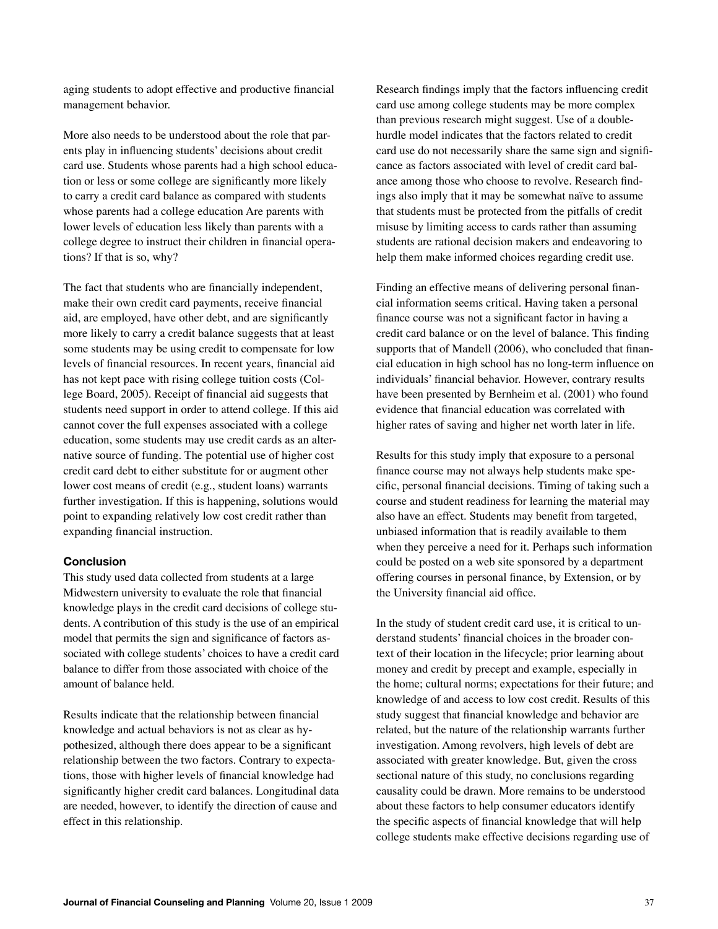aging students to adopt effective and productive financial management behavior.

More also needs to be understood about the role that parents play in influencing students' decisions about credit card use. Students whose parents had a high school education or less or some college are significantly more likely to carry a credit card balance as compared with students whose parents had a college education Are parents with lower levels of education less likely than parents with a college degree to instruct their children in financial operations? If that is so, why?

The fact that students who are financially independent, make their own credit card payments, receive financial aid, are employed, have other debt, and are significantly more likely to carry a credit balance suggests that at least some students may be using credit to compensate for low levels of financial resources. In recent years, financial aid has not kept pace with rising college tuition costs (College Board, 2005). Receipt of financial aid suggests that students need support in order to attend college. If this aid cannot cover the full expenses associated with a college education, some students may use credit cards as an alternative source of funding. The potential use of higher cost credit card debt to either substitute for or augment other lower cost means of credit (e.g., student loans) warrants further investigation. If this is happening, solutions would point to expanding relatively low cost credit rather than expanding financial instruction.

### **Conclusion**

This study used data collected from students at a large Midwestern university to evaluate the role that financial knowledge plays in the credit card decisions of college students. A contribution of this study is the use of an empirical model that permits the sign and significance of factors associated with college students' choices to have a credit card balance to differ from those associated with choice of the amount of balance held.

Results indicate that the relationship between financial knowledge and actual behaviors is not as clear as hypothesized, although there does appear to be a significant relationship between the two factors. Contrary to expectations, those with higher levels of financial knowledge had significantly higher credit card balances. Longitudinal data are needed, however, to identify the direction of cause and effect in this relationship.

Research findings imply that the factors influencing credit card use among college students may be more complex than previous research might suggest. Use of a doublehurdle model indicates that the factors related to credit card use do not necessarily share the same sign and significance as factors associated with level of credit card balance among those who choose to revolve. Research findings also imply that it may be somewhat naïve to assume that students must be protected from the pitfalls of credit misuse by limiting access to cards rather than assuming students are rational decision makers and endeavoring to help them make informed choices regarding credit use.

Finding an effective means of delivering personal financial information seems critical. Having taken a personal finance course was not a significant factor in having a credit card balance or on the level of balance. This finding supports that of Mandell (2006), who concluded that financial education in high school has no long-term influence on individuals' financial behavior. However, contrary results have been presented by Bernheim et al. (2001) who found evidence that financial education was correlated with higher rates of saving and higher net worth later in life.

Results for this study imply that exposure to a personal finance course may not always help students make specific, personal financial decisions. Timing of taking such a course and student readiness for learning the material may also have an effect. Students may benefit from targeted, unbiased information that is readily available to them when they perceive a need for it. Perhaps such information could be posted on a web site sponsored by a department offering courses in personal finance, by Extension, or by the University financial aid office.

In the study of student credit card use, it is critical to understand students' financial choices in the broader context of their location in the lifecycle; prior learning about money and credit by precept and example, especially in the home; cultural norms; expectations for their future; and knowledge of and access to low cost credit. Results of this study suggest that financial knowledge and behavior are related, but the nature of the relationship warrants further investigation. Among revolvers, high levels of debt are associated with greater knowledge. But, given the cross sectional nature of this study, no conclusions regarding causality could be drawn. More remains to be understood about these factors to help consumer educators identify the specific aspects of financial knowledge that will help college students make effective decisions regarding use of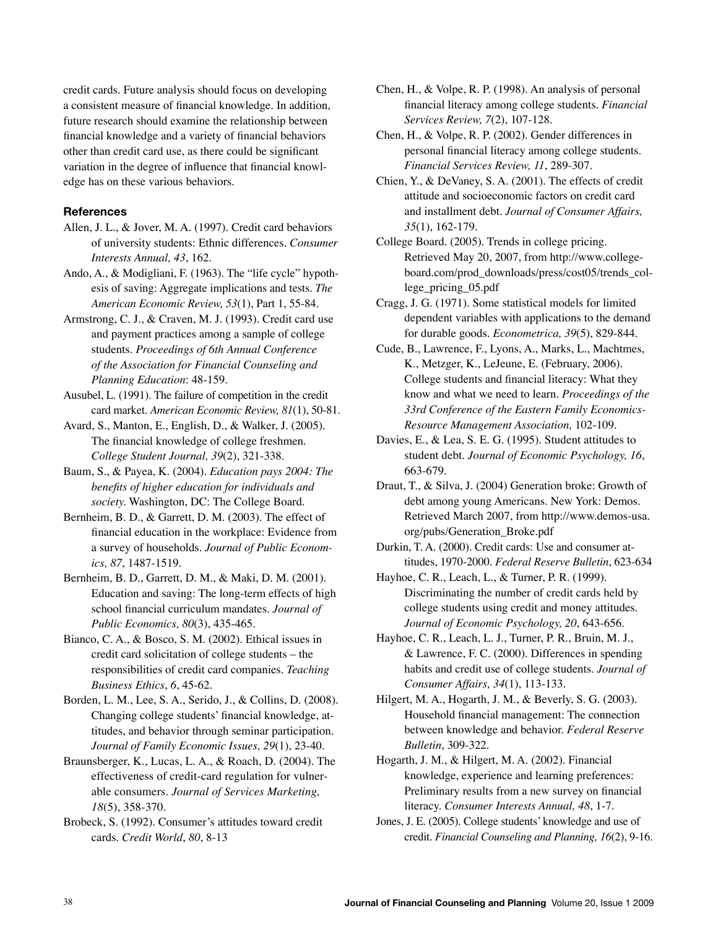credit cards. Future analysis should focus on developing a consistent measure of financial knowledge. In addition, future research should examine the relationship between financial knowledge and a variety of financial behaviors other than credit card use, as there could be significant variation in the degree of influence that financial knowledge has on these various behaviors.

### **References**

- Allen, J. L., & Jover, M. A. (1997). Credit card behaviors of university students: Ethnic differences. *Consumer Interests Annual, 43*, 162.
- Ando, A., & Modigliani, F. (1963). The "life cycle" hypothesis of saving: Aggregate implications and tests. *The American Economic Review, 53*(1), Part 1, 55-84.
- Armstrong, C. J., & Craven, M. J. (1993). Credit card use and payment practices among a sample of college students. *Proceedings of 6th Annual Conference of the Association for Financial Counseling and Planning Education*: 48-159.
- Ausubel, L. (1991). The failure of competition in the credit card market. *American Economic Review, 81*(1), 50-81.
- Avard, S., Manton, E., English, D., & Walker, J. (2005). The financial knowledge of college freshmen. *College Student Journal, 39*(2), 321-338.
- Baum, S., & Payea, K. (2004). *Education pays 2004: The benefits of higher education for individuals and society.* Washington, DC: The College Board.
- Bernheim, B. D., & Garrett, D. M. (2003). The effect of financial education in the workplace: Evidence from a survey of households. *Journal of Public Economics, 87*, 1487-1519.
- Bernheim, B. D., Garrett, D. M., & Maki, D. M. (2001). Education and saving: The long-term effects of high school financial curriculum mandates. *Journal of Public Economics, 80*(3), 435-465.
- Bianco, C. A., & Bosco, S. M. (2002). Ethical issues in credit card solicitation of college students – the responsibilities of credit card companies. *Teaching Business Ethics*, *6*, 45-62.
- Borden, L. M., Lee, S. A., Serido, J., & Collins, D. (2008). Changing college students' financial knowledge, attitudes, and behavior through seminar participation. *Journal of Family Economic Issues, 29*(1), 23-40.
- Braunsberger, K., Lucas, L. A., & Roach, D. (2004). The effectiveness of credit-card regulation for vulnerable consumers. *Journal of Services Marketing, 18*(5), 358-370.
- Brobeck, S. (1992). Consumer's attitudes toward credit cards. *Credit World*, *80*, 8-13
- Chen, H., & Volpe, R. P. (1998). An analysis of personal financial literacy among college students. *Financial Services Review, 7*(2), 107-128.
- Chen, H., & Volpe, R. P. (2002). Gender differences in personal financial literacy among college students. *Financial Services Review, 11*, 289-307.
- Chien, Y., & DeVaney, S. A. (2001). The effects of credit attitude and socioeconomic factors on credit card and installment debt. *Journal of Consumer Affairs, 35*(1), 162-179.
- College Board. (2005). Trends in college pricing. Retrieved May 20, 2007, from http://www.collegeboard.com/prod\_downloads/press/cost05/trends\_college\_pricing\_05.pdf
- Cragg, J. G. (1971). Some statistical models for limited dependent variables with applications to the demand for durable goods. *Econometrica, 39*(5), 829-844.
- Cude, B., Lawrence, F., Lyons, A., Marks, L., Machtmes, K., Metzger, K., LeJeune, E. (February, 2006). College students and financial literacy: What they know and what we need to learn. *Proceedings of the 33rd Conference of the Eastern Family Economics-Resource Management Association,* 102-109.
- Davies, E., & Lea, S. E. G. (1995). Student attitudes to student debt. *Journal of Economic Psychology, 16*, 663-679.
- Draut, T., & Silva, J. (2004) Generation broke: Growth of debt among young Americans. New York: Demos. Retrieved March 2007, from http://www.demos-usa. org/pubs/Generation\_Broke.pdf
- Durkin, T. A. (2000). Credit cards: Use and consumer attitudes, 1970-2000. *Federal Reserve Bulletin*, 623-634
- Hayhoe, C. R., Leach, L., & Turner, P. R. (1999). Discriminating the number of credit cards held by college students using credit and money attitudes. *Journal of Economic Psychology, 20*, 643-656.
- Hayhoe, C. R., Leach, L. J., Turner, P. R., Bruin, M. J., & Lawrence, F. C. (2000). Differences in spending habits and credit use of college students. *Journal of Consumer Affairs, 34*(1), 113-133.
- Hilgert, M. A., Hogarth, J. M., & Beverly, S. G. (2003). Household financial management: The connection between knowledge and behavior. *Federal Reserve Bulletin*, 309-322.
- Hogarth, J. M., & Hilgert, M. A. (2002). Financial knowledge, experience and learning preferences: Preliminary results from a new survey on financial literacy. *Consumer Interests Annual, 48*, 1-7.
- Jones, J. E. (2005). College students' knowledge and use of credit. *Financial Counseling and Planning, 16*(2), 9-16.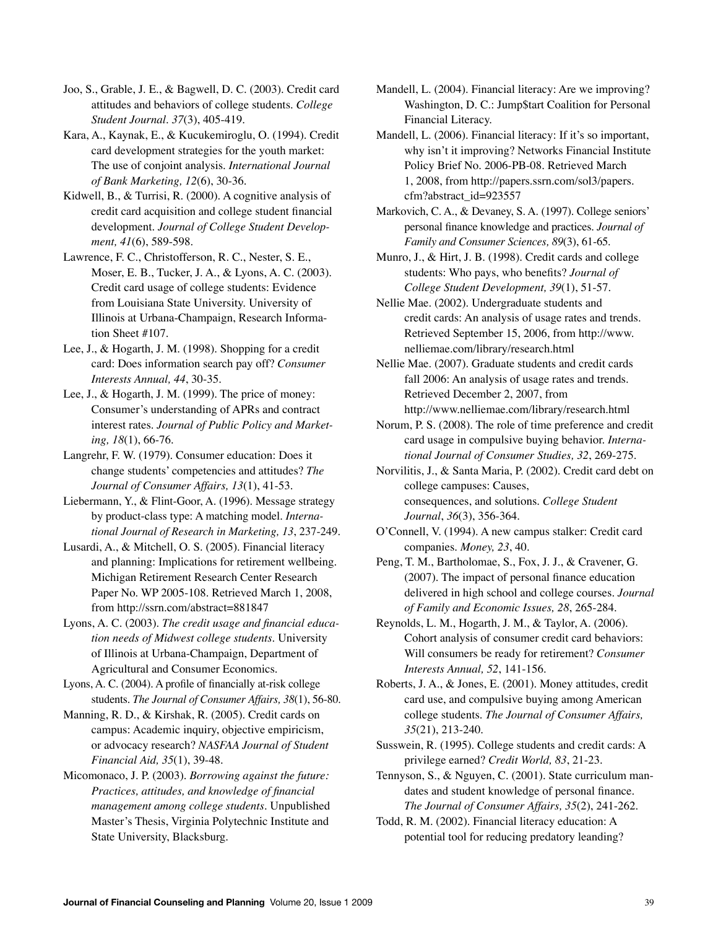Joo, S., Grable, J. E., & Bagwell, D. C. (2003). Credit card attitudes and behaviors of college students. *College Student Journal. 37*(3), 405-419.

Kara, A., Kaynak, E., & Kucukemiroglu, O. (1994). Credit card development strategies for the youth market: The use of conjoint analysis. *International Journal of Bank Marketing, 12*(6), 30-36.

Kidwell, B., & Turrisi, R. (2000). A cognitive analysis of credit card acquisition and college student financial development. *Journal of College Student Development, 41*(6), 589-598.

Lawrence, F. C., Christofferson, R. C., Nester, S. E., Moser, E. B., Tucker, J. A., & Lyons, A. C. (2003). Credit card usage of college students: Evidence from Louisiana State University. University of Illinois at Urbana-Champaign, Research Information Sheet #107.

Lee, J., & Hogarth, J. M. (1998). Shopping for a credit card: Does information search pay off? *Consumer Interests Annual, 44*, 30-35.

Lee, J., & Hogarth, J. M. (1999). The price of money: Consumer's understanding of APRs and contract interest rates. *Journal of Public Policy and Marketing, 18*(1), 66-76.

Langrehr, F. W. (1979). Consumer education: Does it change students' competencies and attitudes? *The Journal of Consumer Affairs, 13*(1), 41-53.

Liebermann, Y., & Flint-Goor, A. (1996). Message strategy by product-class type: A matching model. *International Journal of Research in Marketing, 13*, 237-249.

Lusardi, A., & Mitchell, O. S. (2005). Financial literacy and planning: Implications for retirement wellbeing. Michigan Retirement Research Center Research Paper No. WP 2005-108. Retrieved March 1, 2008, from http://ssrn.com/abstract=881847

Lyons, A. C. (2003). *The credit usage and financial education needs of Midwest college students*. University of Illinois at Urbana-Champaign, Department of Agricultural and Consumer Economics.

Lyons, A. C. (2004). A profile of financially at-risk college students. *The Journal of Consumer Affairs, 38*(1), 56-80.

Manning, R. D., & Kirshak, R. (2005). Credit cards on campus: Academic inquiry, objective empiricism, or advocacy research? *NASFAA Journal of Student Financial Aid, 35*(1), 39-48.

Micomonaco, J. P. (2003). *Borrowing against the future: Practices, attitudes, and knowledge of financial management among college students*. Unpublished Master's Thesis, Virginia Polytechnic Institute and State University, Blacksburg.

Mandell, L. (2004). Financial literacy: Are we improving? Washington, D. C.: Jump\$tart Coalition for Personal Financial Literacy.

Mandell, L. (2006). Financial literacy: If it's so important, why isn't it improving? Networks Financial Institute Policy Brief No. 2006-PB-08. Retrieved March 1, 2008, from http://papers.ssrn.com/sol3/papers. cfm?abstract\_id=923557

Markovich, C. A., & Devaney, S. A. (1997). College seniors' personal finance knowledge and practices. *Journal of Family and Consumer Sciences, 89*(3), 61-65.

Munro, J., & Hirt, J. B. (1998). Credit cards and college students: Who pays, who benefits? *Journal of College Student Development, 39*(1), 51-57.

Nellie Mae. (2002). Undergraduate students and credit cards: An analysis of usage rates and trends. Retrieved September 15, 2006, from http://www. nelliemae.com/library/research.html

Nellie Mae. (2007). Graduate students and credit cards fall 2006: An analysis of usage rates and trends. Retrieved December 2, 2007, from http://www.nelliemae.com/library/research.html

Norum, P. S. (2008). The role of time preference and credit card usage in compulsive buying behavior. *International Journal of Consumer Studies, 32*, 269-275.

Norvilitis, J., & Santa Maria, P. (2002). Credit card debt on college campuses: Causes, consequences, and solutions. *College Student Journal*, *36*(3), 356-364.

O'Connell, V. (1994). A new campus stalker: Credit card companies. *Money, 23*, 40.

Peng, T. M., Bartholomae, S., Fox, J. J., & Cravener, G. (2007). The impact of personal finance education delivered in high school and college courses. *Journal of Family and Economic Issues, 28*, 265-284.

Reynolds, L. M., Hogarth, J. M., & Taylor, A. (2006). Cohort analysis of consumer credit card behaviors: Will consumers be ready for retirement? *Consumer Interests Annual, 52*, 141-156.

Roberts, J. A., & Jones, E. (2001). Money attitudes, credit card use, and compulsive buying among American college students. *The Journal of Consumer Affairs, 35*(21), 213-240.

Susswein, R. (1995). College students and credit cards: A privilege earned? *Credit World, 83*, 21-23.

Tennyson, S., & Nguyen, C. (2001). State curriculum mandates and student knowledge of personal finance. *The Journal of Consumer Affairs, 35*(2), 241-262.

Todd, R. M. (2002). Financial literacy education: A potential tool for reducing predatory leanding?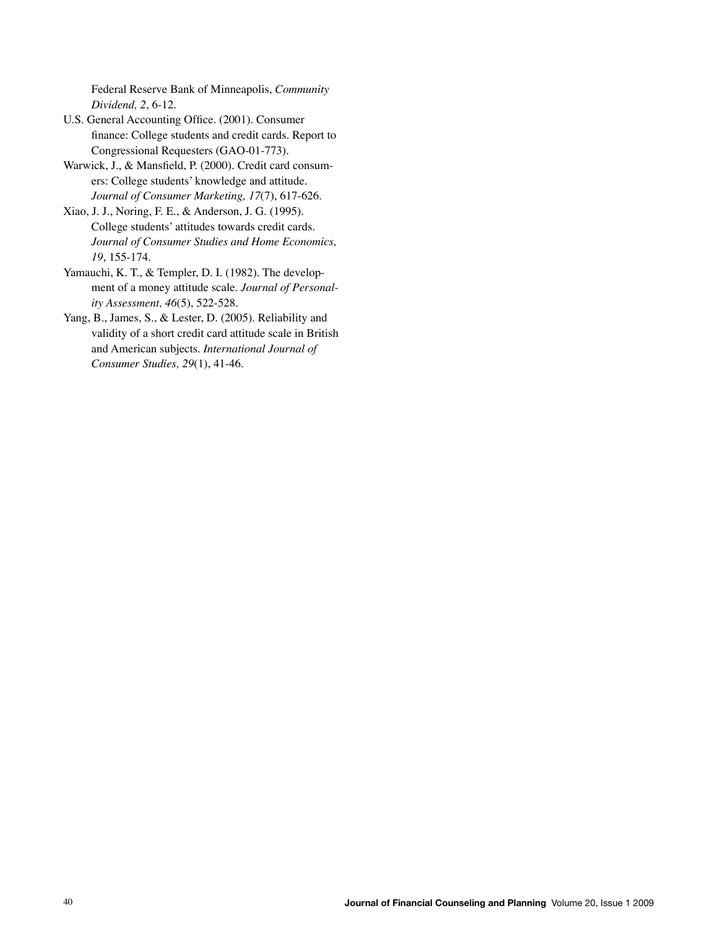Federal Reserve Bank of Minneapolis, *Community Dividend, 2*, 6-12.

- U.S. General Accounting Office. (2001). Consumer finance: College students and credit cards. Report to Congressional Requesters (GAO-01-773).
- Warwick, J., & Mansfield, P. (2000). Credit card consumers: College students' knowledge and attitude. *Journal of Consumer Marketing, 17*(7), 617-626.
- Xiao, J. J., Noring, F. E., & Anderson, J. G. (1995). College students' attitudes towards credit cards. *Journal of Consumer Studies and Home Economics, 19*, 155-174.
- Yamauchi, K. T., & Templer, D. I. (1982). The development of a money attitude scale. *Journal of Personality Assessment, 46*(5), 522-528.
- Yang, B., James, S., & Lester, D. (2005). Reliability and validity of a short credit card attitude scale in British and American subjects. *International Journal of Consumer Studies, 29*(1), 41-46.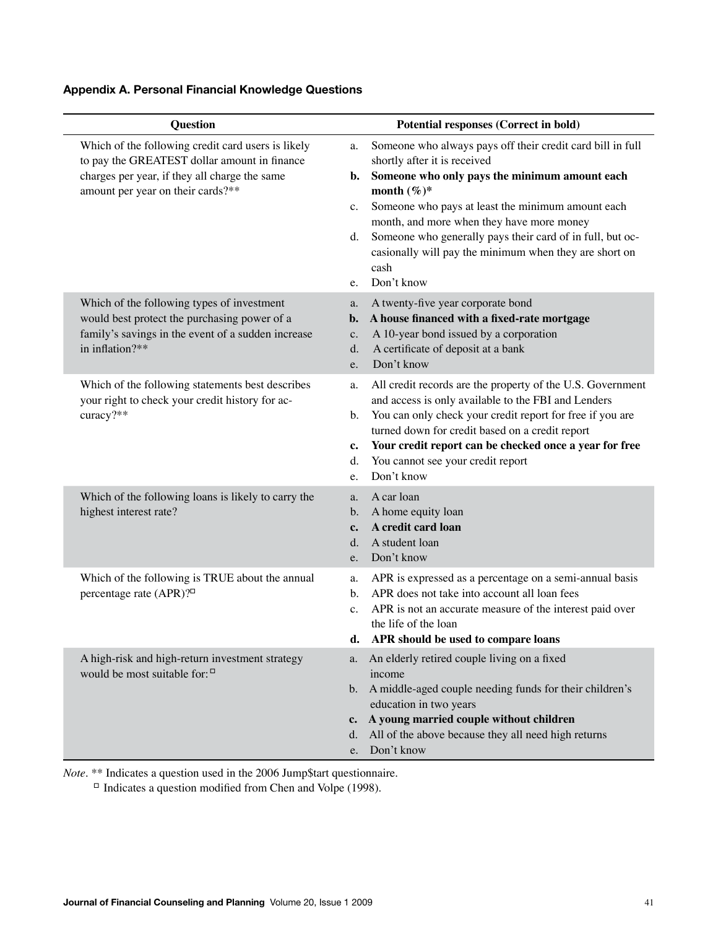| <b>Question</b>                                                                                                                                                                          | Potential responses (Correct in bold)                                                                                                                                                                                                                                                                                                                                                                                                      |
|------------------------------------------------------------------------------------------------------------------------------------------------------------------------------------------|--------------------------------------------------------------------------------------------------------------------------------------------------------------------------------------------------------------------------------------------------------------------------------------------------------------------------------------------------------------------------------------------------------------------------------------------|
| Which of the following credit card users is likely<br>to pay the GREATEST dollar amount in finance<br>charges per year, if they all charge the same<br>amount per year on their cards?** | Someone who always pays off their credit card bill in full<br>a.<br>shortly after it is received<br>Someone who only pays the minimum amount each<br>b.<br>month $(\%)^*$<br>Someone who pays at least the minimum amount each<br>c.<br>month, and more when they have more money<br>Someone who generally pays their card of in full, but oc-<br>d.<br>casionally will pay the minimum when they are short on<br>cash<br>Don't know<br>e. |
| Which of the following types of investment<br>would best protect the purchasing power of a<br>family's savings in the event of a sudden increase<br>in inflation?**                      | A twenty-five year corporate bond<br>a.<br>A house financed with a fixed-rate mortgage<br>b.<br>A 10-year bond issued by a corporation<br>c.<br>A certificate of deposit at a bank<br>d.<br>Don't know<br>e.                                                                                                                                                                                                                               |
| Which of the following statements best describes<br>your right to check your credit history for ac-<br>curacy?**                                                                         | All credit records are the property of the U.S. Government<br>a.<br>and access is only available to the FBI and Lenders<br>You can only check your credit report for free if you are<br>b.<br>turned down for credit based on a credit report<br>Your credit report can be checked once a year for free<br>c.<br>You cannot see your credit report<br>d.<br>Don't know<br>e.                                                               |
| Which of the following loans is likely to carry the<br>highest interest rate?                                                                                                            | A car loan<br>a.<br>A home equity loan<br>$\mathbf b$ .<br>A credit card loan<br>c.<br>A student loan<br>d.<br>Don't know<br>e.                                                                                                                                                                                                                                                                                                            |
| Which of the following is TRUE about the annual<br>percentage rate (APR)? <sup>D</sup>                                                                                                   | APR is expressed as a percentage on a semi-annual basis<br>a.<br>APR does not take into account all loan fees<br>b.<br>APR is not an accurate measure of the interest paid over<br>c.<br>the life of the loan<br>APR should be used to compare loans<br>d.                                                                                                                                                                                 |
| A high-risk and high-return investment strategy<br>would be most suitable for: <sup>□</sup>                                                                                              | An elderly retired couple living on a fixed<br>a.<br>income<br>b. A middle-aged couple needing funds for their children's<br>education in two years<br>A young married couple without children<br>c.<br>All of the above because they all need high returns<br>d.<br>Don't know<br>e.                                                                                                                                                      |

# **Appendix A. Personal Financial Knowledge Questions**

*Note.* \*\* Indicates a question used in the 2006 Jump\$tart questionnaire. □ Indicates a question modified from Chen and Volpe (1998).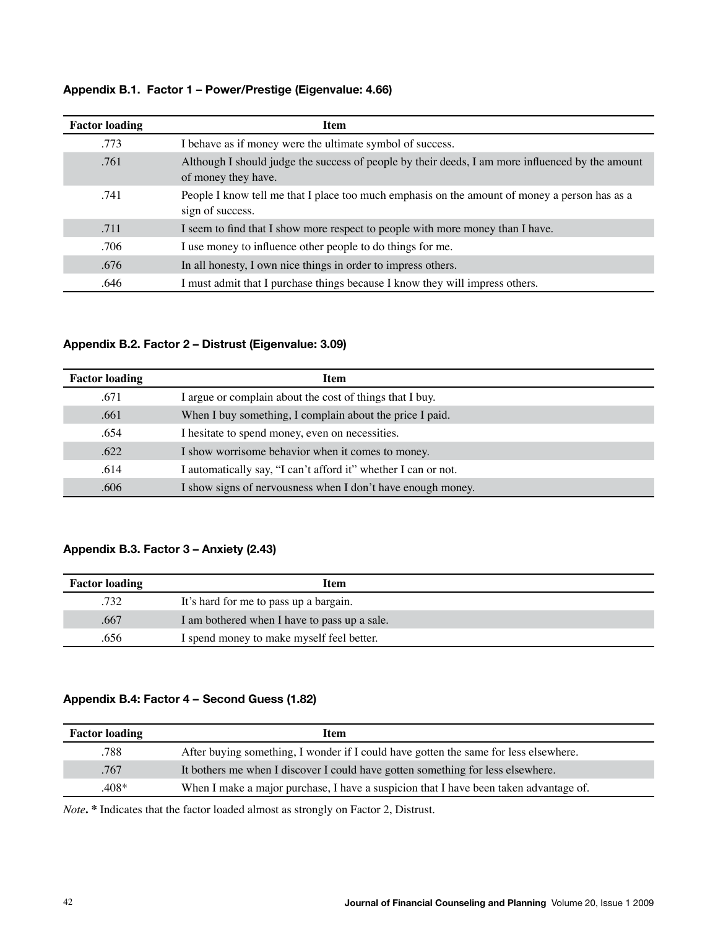# **Appendix B.1. Factor 1 – Power/Prestige (Eigenvalue: 4.66)**

| <b>Factor loading</b> | Item                                                                                                                    |
|-----------------------|-------------------------------------------------------------------------------------------------------------------------|
| .773                  | I behave as if money were the ultimate symbol of success.                                                               |
| .761                  | Although I should judge the success of people by their deeds, I am more influenced by the amount<br>of money they have. |
| .741                  | People I know tell me that I place too much emphasis on the amount of money a person has as a<br>sign of success.       |
| .711                  | I seem to find that I show more respect to people with more money than I have.                                          |
| .706                  | I use money to influence other people to do things for me.                                                              |
| .676                  | In all honesty, I own nice things in order to impress others.                                                           |
| .646                  | I must admit that I purchase things because I know they will impress others.                                            |

## **Appendix B.2. Factor 2 – Distrust (Eigenvalue: 3.09)**

| <b>Factor loading</b> | <b>Item</b>                                                    |
|-----------------------|----------------------------------------------------------------|
| .671                  | I argue or complain about the cost of things that I buy.       |
| .661                  | When I buy something, I complain about the price I paid.       |
| .654                  | I hesitate to spend money, even on necessities.                |
| .622                  | I show worrisome behavior when it comes to money.              |
| .614                  | I automatically say, "I can't afford it" whether I can or not. |
| .606                  | I show signs of nervousness when I don't have enough money.    |

## **Appendix B.3. Factor 3 – Anxiety (2.43)**

| <b>Factor loading</b> | <b>Item</b>                                  |
|-----------------------|----------------------------------------------|
| .732                  | It's hard for me to pass up a bargain.       |
| .667                  | I am bothered when I have to pass up a sale. |
| .656                  | I spend money to make myself feel better.    |

# **Appendix B.4: Factor 4 – Second Guess (1.82)**

| <b>Factor loading</b> | <b>Item</b>                                                                           |
|-----------------------|---------------------------------------------------------------------------------------|
| .788                  | After buying something, I wonder if I could have gotten the same for less elsewhere.  |
| .767                  | It bothers me when I discover I could have gotten something for less elsewhere.       |
| $.408*$               | When I make a major purchase, I have a suspicion that I have been taken advantage of. |

*Note***. \*** Indicates that the factor loaded almost as strongly on Factor 2, Distrust.